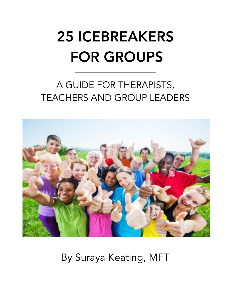# 25 ICEBREAKERS FOR GROUPS

### A GUIDE FOR THERAPISTS, TEACHERS AND GROUP LEADERS



By Suraya Keating, MFT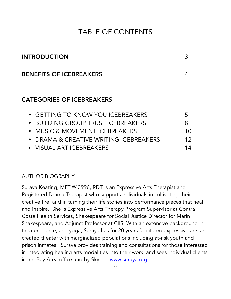#### TABLE OF CONTENTS

| <b>INTRODUCTION</b>            |  |
|--------------------------------|--|
| <b>BENEFITS OF ICEBREAKERS</b> |  |

#### CATEGORIES OF ICEBREAKERS

| • GETTING TO KNOW YOU ICEBREAKERS      | $\mathcal{F}$ |
|----------------------------------------|---------------|
| • BUILDING GROUP TRUST ICEBREAKERS     | 8             |
| • MUSIC & MOVEMENT ICEBREAKERS         | 10            |
| • DRAMA & CREATIVE WRITING ICEBREAKERS | 12            |
| • VISUAL ART ICEBREAKERS               | 14            |

#### AUTHOR BIOGRAPHY

Suraya Keating, MFT #43996, RDT is an Expressive Arts Therapist and Registered Drama Therapist who supports individuals in cultivating their creative fire, and in turning their life stories into performance pieces that heal and inspire. She is Expressive Arts Therapy Program Supervisor at Contra Costa Health Services, Shakespeare for Social Justice Director for Marin Shakespeare, and Adjunct Professor at CIIS. With an extensive background in theater, dance, and yoga, Suraya has for 20 years facilitated expressive arts and created theater with marginalized populations including at-risk youth and prison inmates. Suraya provides training and consultations for those interested in integrating healing arts modalities into their work, and sees individual clients in her Bay Area office and by Skype. www.suraya.org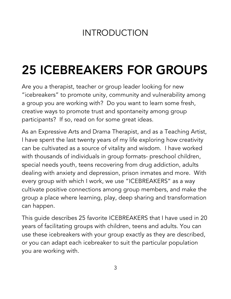### INTRODUCTION

## 25 ICEBREAKERS FOR GROUPS

Are you a therapist, teacher or group leader looking for new "icebreakers" to promote unity, community and vulnerability among a group you are working with? Do you want to learn some fresh, creative ways to promote trust and spontaneity among group participants? If so, read on for some great ideas.

As an Expressive Arts and Drama Therapist, and as a Teaching Artist, I have spent the last twenty years of my life exploring how creativity can be cultivated as a source of vitality and wisdom. I have worked with thousands of individuals in group formats- preschool children, special needs youth, teens recovering from drug addiction, adults dealing with anxiety and depression, prison inmates and more. With every group with which I work, we use "ICEBREAKERS" as a way cultivate positive connections among group members, and make the group a place where learning, play, deep sharing and transformation can happen.

This guide describes 25 favorite ICEBREAKERS that I have used in 20 years of facilitating groups with children, teens and adults. You can use these icebreakers with your group exactly as they are described, or you can adapt each icebreaker to suit the particular population you are working with.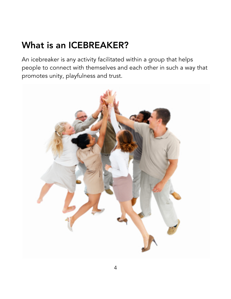### What is an ICEBREAKER?

An icebreaker is any activity facilitated within a group that helps people to connect with themselves and each other in such a way that promotes unity, playfulness and trust.

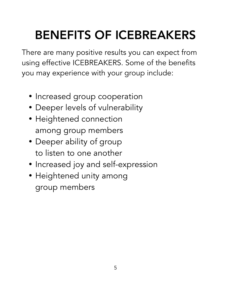# BENEFITS OF ICEBREAKERS

There are many positive results you can expect from using effective ICEBREAKERS. Some of the benefits you may experience with your group include:

- Increased group cooperation
- Deeper levels of vulnerability
- Heightened connection among group members
- Deeper ability of group to listen to one another
- Increased joy and self-expression
- Heightened unity among group members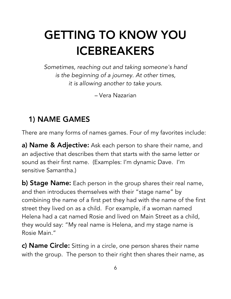### GETTING TO KNOW YOU ICEBREAKERS

*Sometimes, reaching out and taking someone's hand is the beginning of a journey. At other times, it is allowing another to take yours.*

*–* Vera Nazarian

### 1) NAME GAMES

There are many forms of names games. Four of my favorites include:

a) Name & Adjective: Ask each person to share their name, and an adjective that describes them that starts with the same letter or sound as their first name. (Examples: I'm dynamic Dave. I'm sensitive Samantha.)

b) Stage Name: Each person in the group shares their real name, and then introduces themselves with their "stage name" by combining the name of a first pet they had with the name of the first street they lived on as a child. For example, if a woman named Helena had a cat named Rosie and lived on Main Street as a child, they would say: "My real name is Helena, and my stage name is Rosie Main."

c) Name Circle: Sitting in a circle, one person shares their name with the group. The person to their right then shares their name, as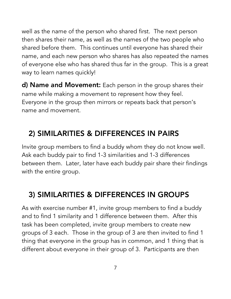well as the name of the person who shared first. The next person then shares their name, as well as the names of the two people who shared before them. This continues until everyone has shared their name, and each new person who shares has also repeated the names of everyone else who has shared thus far in the group. This is a great way to learn names quickly!

d) Name and Movement: Each person in the group shares their name while making a movement to represent how they feel. Everyone in the group then mirrors or repeats back that person's name and movement.

### 2) SIMILARITIES & DIFFERENCES IN PAIRS

Invite group members to find a buddy whom they do not know well. Ask each buddy pair to find 1-3 similarities and 1-3 differences between them. Later, later have each buddy pair share their findings with the entire group.

### 3) SIMILARITIES & DIFFERENCES IN GROUPS

As with exercise number #1, invite group members to find a buddy and to find 1 similarity and 1 difference between them. After this task has been completed, invite group members to create new groups of 3 each. Those in the group of 3 are then invited to find 1 thing that everyone in the group has in common, and 1 thing that is different about everyone in their group of 3. Participants are then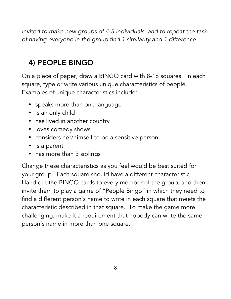*invited to make new groups of 4-5 individuals, and to repeat the task of having everyone in the group find 1 similarity and 1 difference.*

### 4) PEOPLE BINGO

On a piece of paper, draw a BINGO card with 8-16 squares. In each square, type or write various unique characteristics of people. Examples of unique characteristics include:

- speaks more than one language
- is an only child
- has lived in another country
- loves comedy shows
- considers her/himself to be a sensitive person
- is a parent
- has more than 3 siblings

Change these characteristics as you feel would be best suited for your group. Each square should have a different characteristic. Hand out the BINGO cards to every member of the group, and then invite them to play a game of "People Bingo" in which they need to find a different person's name to write in each square that meets the characteristic described in that square. To make the game more challenging, make it a requirement that nobody can write the same person's name in more than one square.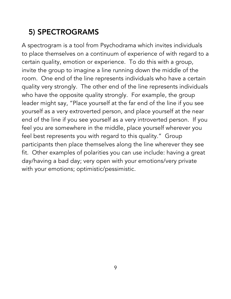### 5) SPECTROGRAMS

A spectrogram is a tool from Psychodrama which invites individuals to place themselves on a continuum of experience of with regard to a certain quality, emotion or experience. To do this with a group, invite the group to imagine a line running down the middle of the room. One end of the line represents individuals who have a certain quality very strongly. The other end of the line represents individuals who have the opposite quality strongly. For example, the group leader might say, "Place yourself at the far end of the line if you see yourself as a very extroverted person, and place yourself at the near end of the line if you see yourself as a very introverted person. If you feel you are somewhere in the middle, place yourself wherever you feel best represents you with regard to this quality." Group participants then place themselves along the line wherever they see fit. Other examples of polarities you can use include: having a great day/having a bad day; very open with your emotions/very private with your emotions; optimistic/pessimistic.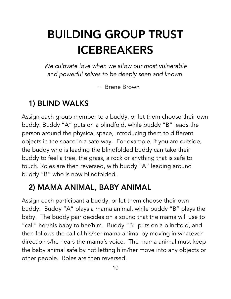### BUILDING GROUP TRUST ICEBREAKERS

*We cultivate love when we allow our most vulnerable and powerful selves to be deeply seen and known.*

– Brene Brown

#### 1) BLIND WALKS

Assign each group member to a buddy, or let them choose their own buddy. Buddy "A" puts on a blindfold, while buddy "B" leads the person around the physical space, introducing them to different objects in the space in a safe way. For example, if you are outside, the buddy who is leading the blindfolded buddy can take their buddy to feel a tree, the grass, a rock or anything that is safe to touch. Roles are then reversed, with buddy "A" leading around buddy "B" who is now blindfolded.

#### 2) MAMA ANIMAL, BABY ANIMAL

Assign each participant a buddy, or let them choose their own buddy. Buddy "A" plays a mama animal, while buddy "B" plays the baby. The buddy pair decides on a sound that the mama will use to "call" her/his baby to her/him. Buddy "B" puts on a blindfold, and then follows the call of his/her mama animal by moving in whatever direction s/he hears the mama's voice. The mama animal must keep the baby animal safe by not letting him/her move into any objects or other people. Roles are then reversed.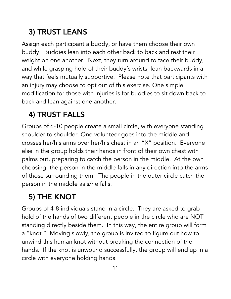### 3) TRUST LEANS

Assign each participant a buddy, or have them choose their own buddy. Buddies lean into each other back to back and rest their weight on one another. Next, they turn around to face their buddy, and while grasping hold of their buddy's wrists, lean backwards in a way that feels mutually supportive. Please note that participants with an injury may choose to opt out of this exercise. One simple modification for those with injuries is for buddies to sit down back to back and lean against one another.

### 4) TRUST FALLS

Groups of 6-10 people create a small circle, with everyone standing shoulder to shoulder. One volunteer goes into the middle and crosses her/his arms over her/his chest in an "X" position. Everyone else in the group holds their hands in front of their own chest with palms out, preparing to catch the person in the middle. At the own choosing, the person in the middle falls in any direction into the arms of those surrounding them. The people in the outer circle catch the person in the middle as s/he falls.

### 5) THE KNOT

Groups of 4-8 individuals stand in a circle. They are asked to grab hold of the hands of two different people in the circle who are NOT standing directly beside them. In this way, the entire group will form a "knot." Moving slowly, the group is invited to figure out how to unwind this human knot without breaking the connection of the hands. If the knot is unwound successfully, the group will end up in a circle with everyone holding hands.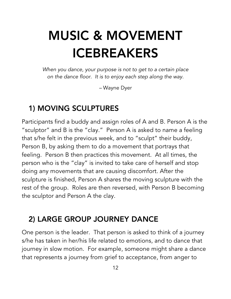# MUSIC & MOVEMENT ICEBREAKERS

*When you dance, your purpose is not to get to a certain place on the dance floor. It is to enjoy each step along the way.*

*–* Wayne Dyer

#### 1) MOVING SCULPTURES

Participants find a buddy and assign roles of A and B. Person A is the "sculptor" and B is the "clay." Person A is asked to name a feeling that s/he felt in the previous week, and to "sculpt" their buddy, Person B, by asking them to do a movement that portrays that feeling. Person B then practices this movement. At all times, the person who is the "clay" is invited to take care of herself and stop doing any movements that are causing discomfort. After the sculpture is finished, Person A shares the moving sculpture with the rest of the group. Roles are then reversed, with Person B becoming the sculptor and Person A the clay.

### 2) LARGE GROUP JOURNEY DANCE

One person is the leader. That person is asked to think of a journey s/he has taken in her/his life related to emotions, and to dance that journey in slow motion. For example, someone might share a dance that represents a journey from grief to acceptance, from anger to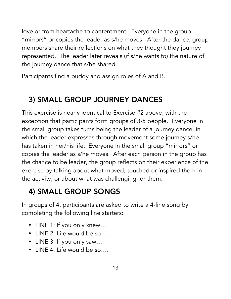love or from heartache to contentment. Everyone in the group "mirrors" or copies the leader as s/he moves. After the dance, group members share their reflections on what they thought they journey represented. The leader later reveals (if s/he wants to) the nature of the journey dance that s/he shared.

Participants find a buddy and assign roles of A and B.

### 3) SMALL GROUP JOURNEY DANCES

This exercise is nearly identical to Exercise #2 above, with the exception that participants form groups of 3-5 people. Everyone in the small group takes turns being the leader of a journey dance, in which the leader expresses through movement some journey s/he has taken in her/his life. Everyone in the small group "mirrors" or copies the leader as s/he moves. After each person in the group has the chance to be leader, the group reflects on their experience of the exercise by talking about what moved, touched or inspired them in the activity, or about what was challenging for them.

### 4) SMALL GROUP SONGS

In groups of 4, participants are asked to write a 4-line song by completing the following line starters:

- LINE 1: If you only knew….
- LINE 2: Life would be so….
- LINE 3: If you only saw….
- $\cdot$  LINE 4: Life would be so...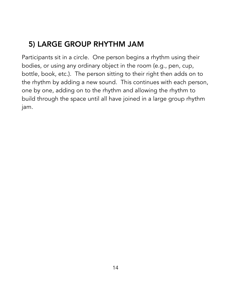### 5) LARGE GROUP RHYTHM JAM

Participants sit in a circle. One person begins a rhythm using their bodies, or using any ordinary object in the room (e.g., pen, cup, bottle, book, etc.). The person sitting to their right then adds on to the rhythm by adding a new sound. This continues with each person, one by one, adding on to the rhythm and allowing the rhythm to build through the space until all have joined in a large group rhythm jam.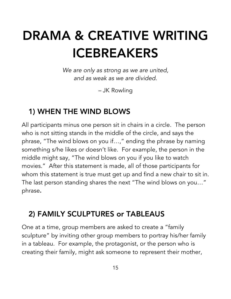# DRAMA & CREATIVE WRITING ICEBREAKERS

*We are only as strong as we are united, and as weak as we are divided.*

*–* JK Rowling

#### 1) WHEN THE WIND BLOWS

All participants minus one person sit in chairs in a circle. The person who is not sitting stands in the middle of the circle, and says the phrase, "The wind blows on you if…," ending the phrase by naming something s/he likes or doesn't like. For example, the person in the middle might say, "The wind blows on you if you like to watch movies." After this statement is made, all of those participants for whom this statement is true must get up and find a new chair to sit in. The last person standing shares the next "The wind blows on you…" phrase.

### 2) FAMILY SCULPTURES or TABLEAUS

One at a time, group members are asked to create a "family sculpture" by inviting other group members to portray his/her family in a tableau. For example, the protagonist, or the person who is creating their family, might ask someone to represent their mother,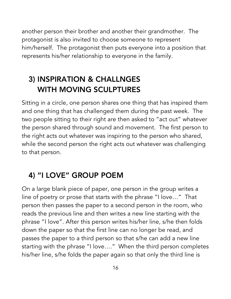another person their brother and another their grandmother. The protagonist is also invited to choose someone to represent him/herself. The protagonist then puts everyone into a position that represents his/her relationship to everyone in the family.

### 3) INSPIRATION & CHALLNGES WITH MOVING SCULPTURES

Sitting in a circle, one person shares one thing that has inspired them and one thing that has challenged them during the past week. The two people sitting to their right are then asked to "act out" whatever the person shared through sound and movement. The first person to the right acts out whatever was inspiring to the person who shared, while the second person the right acts out whatever was challenging to that person.

### 4) "I LOVE" GROUP POEM

On a large blank piece of paper, one person in the group writes a line of poetry or prose that starts with the phrase "I love…" That person then passes the paper to a second person in the room, who reads the previous line and then writes a new line starting with the phrase "I love". After this person writes his/her line, s/he then folds down the paper so that the first line can no longer be read, and passes the paper to a third person so that s/he can add a new line starting with the phrase "I love…." When the third person completes his/her line, s/he folds the paper again so that only the third line is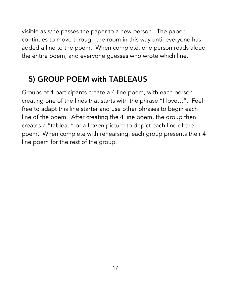visible as s/he passes the paper to a new person. The paper continues to move through the room in this way until everyone has added a line to the poem. When complete, one person reads aloud the entire poem, and everyone guesses who wrote which line.

### 5) GROUP POEM with TABLEAUS

Groups of 4 participants create a 4 line poem, with each person creating one of the lines that starts with the phrase "I love…". Feel free to adapt this line starter and use other phrases to begin each line of the poem. After creating the 4 line poem, the group then creates a "tableau" or a frozen picture to depict each line of the poem. When complete with rehearsing, each group presents their 4 line poem for the rest of the group.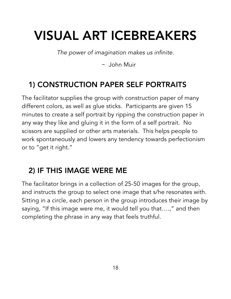## VISUAL ART ICEBREAKERS

*The power of imagination makes us infinite.*

– John Muir

### 1) CONSTRUCTION PAPER SELF PORTRAITS

The facilitator supplies the group with construction paper of many different colors, as well as glue sticks. Participants are given 15 minutes to create a self portrait by ripping the construction paper in any way they like and gluing it in the form of a self portrait. No scissors are supplied or other arts materials. This helps people to work spontaneously and lowers any tendency towards perfectionism or to "get it right."

#### 2) IF THIS IMAGE WERE ME

The facilitator brings in a collection of 25-50 images for the group, and instructs the group to select one image that s/he resonates with. Sitting in a circle, each person in the group introduces their image by saying, "If this image were me, it would tell you that….," and then completing the phrase in any way that feels truthful.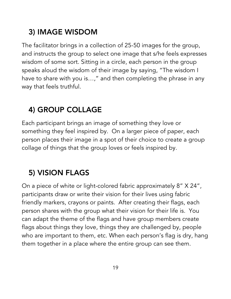### 3) IMAGE WISDOM

The facilitator brings in a collection of 25-50 images for the group, and instructs the group to select one image that s/he feels expresses wisdom of some sort. Sitting in a circle, each person in the group speaks aloud the wisdom of their image by saying, "The wisdom I have to share with you is…," and then completing the phrase in any way that feels truthful.

### 4) GROUP COLLAGE

Each participant brings an image of something they love or something they feel inspired by. On a larger piece of paper, each person places their image in a spot of their choice to create a group collage of things that the group loves or feels inspired by.

### 5) VISION FLAGS

On a piece of white or light-colored fabric approximately 8" X 24", participants draw or write their vision for their lives using fabric friendly markers, crayons or paints. After creating their flags, each person shares with the group what their vision for their life is. You can adapt the theme of the flags and have group members create flags about things they love, things they are challenged by, people who are important to them, etc. When each person's flag is dry, hang them together in a place where the entire group can see them.